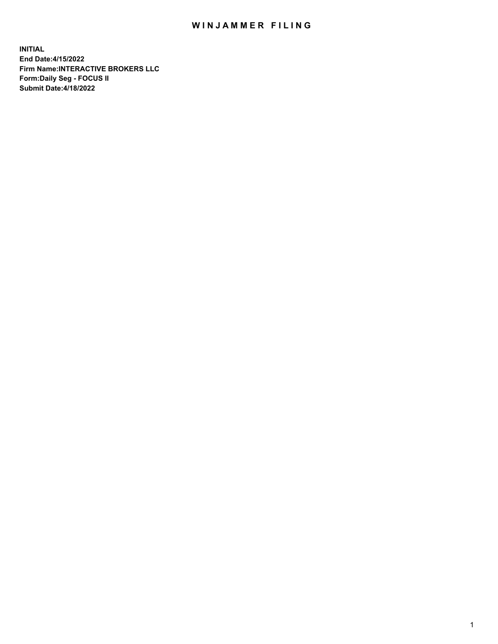## WIN JAMMER FILING

**INITIAL End Date:4/15/2022 Firm Name:INTERACTIVE BROKERS LLC Form:Daily Seg - FOCUS II Submit Date:4/18/2022**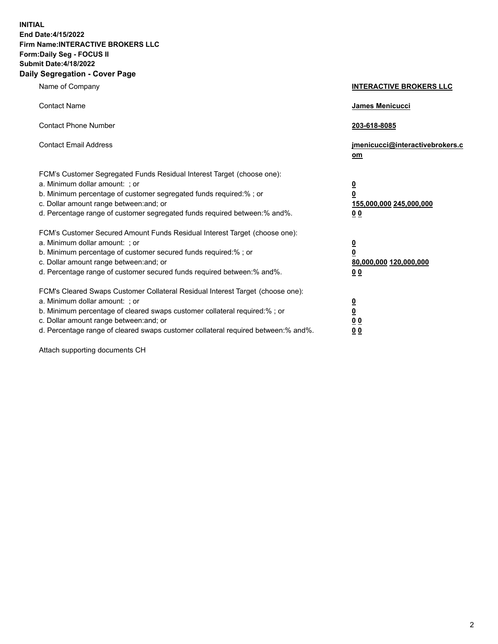**INITIAL End Date:4/15/2022 Firm Name:INTERACTIVE BROKERS LLC Form:Daily Seg - FOCUS II Submit Date:4/18/2022 Daily Segregation - Cover Page**

| Name of Company                                                                                                                                                                                                                                                                                                               | <b>INTERACTIVE BROKERS LLC</b>                                                                  |  |
|-------------------------------------------------------------------------------------------------------------------------------------------------------------------------------------------------------------------------------------------------------------------------------------------------------------------------------|-------------------------------------------------------------------------------------------------|--|
| <b>Contact Name</b>                                                                                                                                                                                                                                                                                                           | James Menicucci                                                                                 |  |
| <b>Contact Phone Number</b>                                                                                                                                                                                                                                                                                                   | 203-618-8085                                                                                    |  |
| <b>Contact Email Address</b>                                                                                                                                                                                                                                                                                                  | jmenicucci@interactivebrokers.c<br><u>om</u>                                                    |  |
| FCM's Customer Segregated Funds Residual Interest Target (choose one):<br>a. Minimum dollar amount: ; or<br>b. Minimum percentage of customer segregated funds required:% ; or<br>c. Dollar amount range between: and; or<br>d. Percentage range of customer segregated funds required between:% and%.                        | $\overline{\mathbf{0}}$<br>$\overline{\mathbf{0}}$<br>155,000,000 245,000,000<br>0 <sub>0</sub> |  |
| FCM's Customer Secured Amount Funds Residual Interest Target (choose one):<br>a. Minimum dollar amount: ; or<br>b. Minimum percentage of customer secured funds required:%; or<br>c. Dollar amount range between: and; or<br>d. Percentage range of customer secured funds required between:% and%.                           | $\overline{\mathbf{0}}$<br>$\overline{\mathbf{0}}$<br>80,000,000 120,000,000<br>0 <sub>0</sub>  |  |
| FCM's Cleared Swaps Customer Collateral Residual Interest Target (choose one):<br>a. Minimum dollar amount: ; or<br>b. Minimum percentage of cleared swaps customer collateral required:%; or<br>c. Dollar amount range between: and; or<br>d. Percentage range of cleared swaps customer collateral required between:% and%. | $\overline{\mathbf{0}}$<br>$\overline{\mathbf{0}}$<br>0 <sub>0</sub><br>0 <sub>0</sub>          |  |

Attach supporting documents CH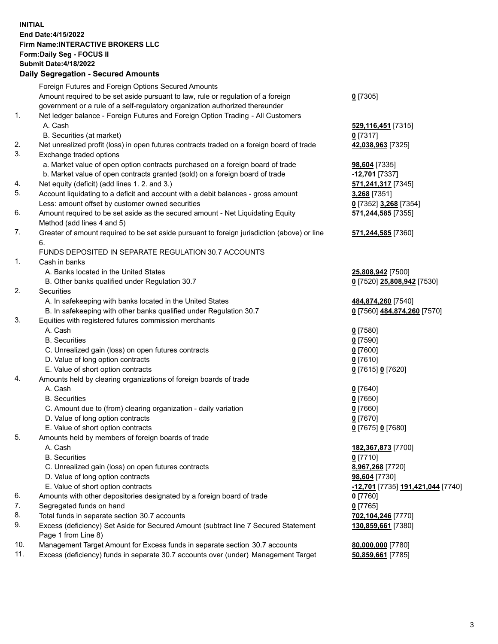**INITIAL End Date:4/15/2022 Firm Name:INTERACTIVE BROKERS LLC Form:Daily Seg - FOCUS II Submit Date:4/18/2022 Daily Segregation - Secured Amounts**

## Foreign Futures and Foreign Options Secured Amounts Amount required to be set aside pursuant to law, rule or regulation of a foreign government or a rule of a self-regulatory organization authorized thereunder **0** [7305] 1. Net ledger balance - Foreign Futures and Foreign Option Trading - All Customers A. Cash **529,116,451** [7315] B. Securities (at market) **0** [7317] 2. Net unrealized profit (loss) in open futures contracts traded on a foreign board of trade **42,038,963** [7325] 3. Exchange traded options a. Market value of open option contracts purchased on a foreign board of trade **98,604** [7335] b. Market value of open contracts granted (sold) on a foreign board of trade **-12,701** [7337] 4. Net equity (deficit) (add lines 1. 2. and 3.) **571,241,317** [7345] 5. Account liquidating to a deficit and account with a debit balances - gross amount **3,268** [7351] Less: amount offset by customer owned securities **0** [7352] **3,268** [7354] 6. Amount required to be set aside as the secured amount - Net Liquidating Equity Method (add lines 4 and 5) **571,244,585** [7355] 7. Greater of amount required to be set aside pursuant to foreign jurisdiction (above) or line 6. **571,244,585** [7360] FUNDS DEPOSITED IN SEPARATE REGULATION 30.7 ACCOUNTS 1. Cash in banks A. Banks located in the United States **25,808,942** [7500] B. Other banks qualified under Regulation 30.7 **0** [7520] **25,808,942** [7530] 2. Securities A. In safekeeping with banks located in the United States **484,874,260** [7540] B. In safekeeping with other banks qualified under Regulation 30.7 **0** [7560] **484,874,260** [7570] 3. Equities with registered futures commission merchants A. Cash **0** [7580] B. Securities **0** [7590] C. Unrealized gain (loss) on open futures contracts **0** [7600] D. Value of long option contracts **0** [7610] E. Value of short option contracts **0** [7615] **0** [7620] 4. Amounts held by clearing organizations of foreign boards of trade A. Cash **0** [7640] B. Securities **0** [7650] C. Amount due to (from) clearing organization - daily variation **0** [7660] D. Value of long option contracts **0** [7670] E. Value of short option contracts **0** [7675] **0** [7680] 5. Amounts held by members of foreign boards of trade A. Cash **182,367,873** [7700] B. Securities **0** [7710] C. Unrealized gain (loss) on open futures contracts **8,967,268** [7720] D. Value of long option contracts **98,604** [7730] E. Value of short option contracts **-12,701** [7735] **191,421,044** [7740] 6. Amounts with other depositories designated by a foreign board of trade **0** [7760] 7. Segregated funds on hand **0** [7765] 8. Total funds in separate section 30.7 accounts **702,104,246** [7770] 9. Excess (deficiency) Set Aside for Secured Amount (subtract line 7 Secured Statement Page 1 from Line 8) **130,859,661** [7380] 10. Management Target Amount for Excess funds in separate section 30.7 accounts **80,000,000** [7780] 11. Excess (deficiency) funds in separate 30.7 accounts over (under) Management Target **50,859,661** [7785]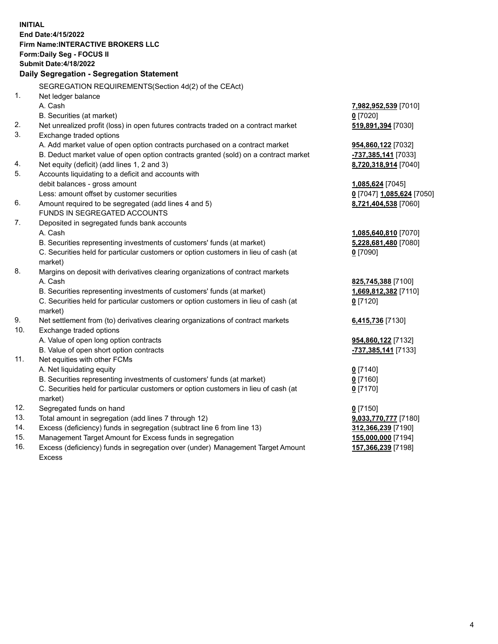**INITIAL End Date:4/15/2022 Firm Name:INTERACTIVE BROKERS LLC Form:Daily Seg - FOCUS II Submit Date:4/18/2022 Daily Segregation - Segregation Statement** SEGREGATION REQUIREMENTS(Section 4d(2) of the CEAct) 1. Net ledger balance A. Cash **7,982,952,539** [7010] B. Securities (at market) **0** [7020] 2. Net unrealized profit (loss) in open futures contracts traded on a contract market **519,891,394** [7030] 3. Exchange traded options A. Add market value of open option contracts purchased on a contract market **954,860,122** [7032] B. Deduct market value of open option contracts granted (sold) on a contract market **-737,385,141** [7033] 4. Net equity (deficit) (add lines 1, 2 and 3) **8,720,318,914** [7040] 5. Accounts liquidating to a deficit and accounts with debit balances - gross amount **1,085,624** [7045] Less: amount offset by customer securities **0** [7047] **1,085,624** [7050] 6. Amount required to be segregated (add lines 4 and 5) **8,721,404,538** [7060] FUNDS IN SEGREGATED ACCOUNTS 7. Deposited in segregated funds bank accounts A. Cash **1,085,640,810** [7070] B. Securities representing investments of customers' funds (at market) **5,228,681,480** [7080] C. Securities held for particular customers or option customers in lieu of cash (at market) **0** [7090] 8. Margins on deposit with derivatives clearing organizations of contract markets A. Cash **825,745,388** [7100] B. Securities representing investments of customers' funds (at market) **1,669,812,382** [7110] C. Securities held for particular customers or option customers in lieu of cash (at market) **0** [7120] 9. Net settlement from (to) derivatives clearing organizations of contract markets **6,415,736** [7130] 10. Exchange traded options A. Value of open long option contracts **954,860,122** [7132] B. Value of open short option contracts **-737,385,141** [7133] 11. Net equities with other FCMs A. Net liquidating equity **0** [7140] B. Securities representing investments of customers' funds (at market) **0** [7160] C. Securities held for particular customers or option customers in lieu of cash (at market) **0** [7170] 12. Segregated funds on hand **0** [7150] 13. Total amount in segregation (add lines 7 through 12) **9,033,770,777** [7180] 14. Excess (deficiency) funds in segregation (subtract line 6 from line 13) **312,366,239** [7190] 15. Management Target Amount for Excess funds in segregation **155,000,000** [7194] 16. Excess (deficiency) funds in segregation over (under) Management Target Amount **157,366,239** [7198]

Excess